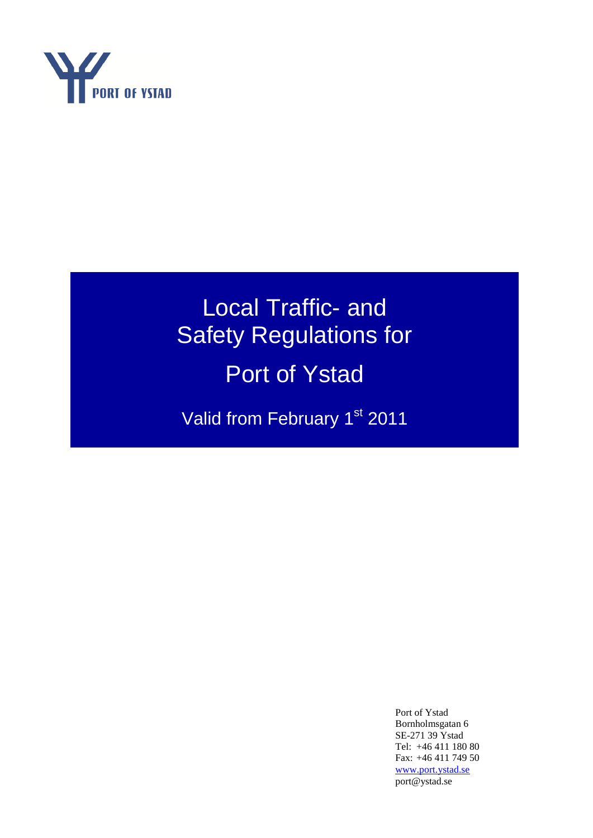

# Local Traffic- and Safety Regulations for Port of Ystad

Valid from February 1st 2011

Port of Ystad Bornholmsgatan 6 SE-271 39 Ystad Tel: +46 411 180 80 Fax: +46 411 749 50 [www.port.ystad.se](http://www.port.ystad.se/) port@ystad.se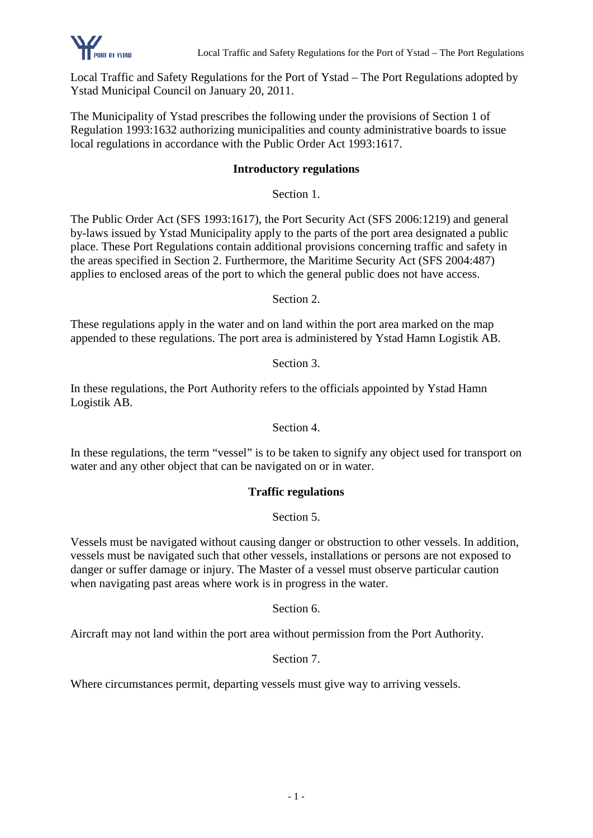

Local Traffic and Safety Regulations for the Port of Ystad – The Port Regulations adopted by Ystad Municipal Council on January 20, 2011.

The Municipality of Ystad prescribes the following under the provisions of Section 1 of Regulation 1993:1632 authorizing municipalities and county administrative boards to issue local regulations in accordance with the Public Order Act 1993:1617.

## **Introductory regulations**

Section 1.

The Public Order Act (SFS 1993:1617), the Port Security Act (SFS 2006:1219) and general by-laws issued by Ystad Municipality apply to the parts of the port area designated a public place. These Port Regulations contain additional provisions concerning traffic and safety in the areas specified in Section 2. Furthermore, the Maritime Security Act (SFS 2004:487) applies to enclosed areas of the port to which the general public does not have access.

Section 2.

These regulations apply in the water and on land within the port area marked on the map appended to these regulations. The port area is administered by Ystad Hamn Logistik AB.

Section 3.

In these regulations, the Port Authority refers to the officials appointed by Ystad Hamn Logistik AB.

Section 4.

In these regulations, the term "vessel" is to be taken to signify any object used for transport on water and any other object that can be navigated on or in water.

# **Traffic regulations**

Section 5.

Vessels must be navigated without causing danger or obstruction to other vessels. In addition, vessels must be navigated such that other vessels, installations or persons are not exposed to danger or suffer damage or injury. The Master of a vessel must observe particular caution when navigating past areas where work is in progress in the water.

Section 6.

Aircraft may not land within the port area without permission from the Port Authority.

#### Section 7.

Where circumstances permit, departing vessels must give way to arriving vessels.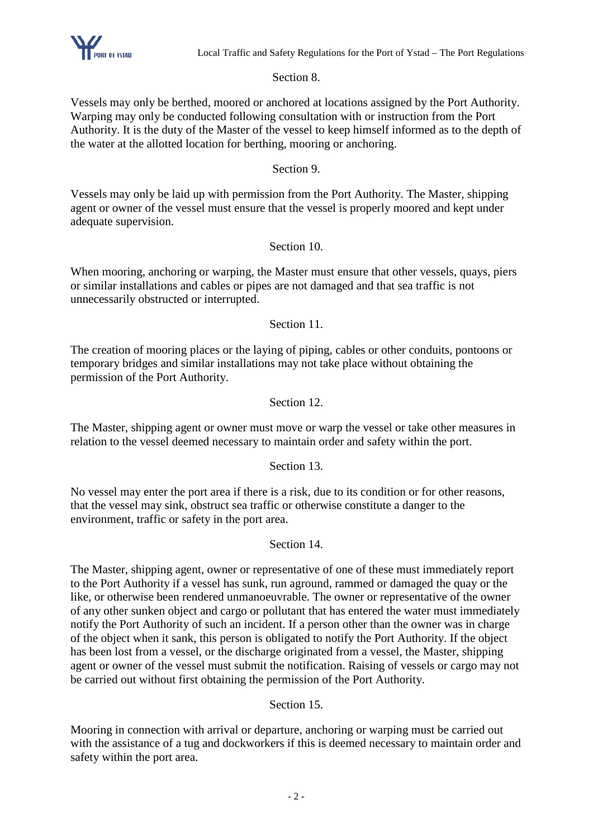

Section 8.

Vessels may only be berthed, moored or anchored at locations assigned by the Port Authority. Warping may only be conducted following consultation with or instruction from the Port Authority. It is the duty of the Master of the vessel to keep himself informed as to the depth of the water at the allotted location for berthing, mooring or anchoring.

## Section 9.

Vessels may only be laid up with permission from the Port Authority. The Master, shipping agent or owner of the vessel must ensure that the vessel is properly moored and kept under adequate supervision.

## Section 10.

When mooring, anchoring or warping, the Master must ensure that other vessels, quays, piers or similar installations and cables or pipes are not damaged and that sea traffic is not unnecessarily obstructed or interrupted.

Section 11.

The creation of mooring places or the laying of piping, cables or other conduits, pontoons or temporary bridges and similar installations may not take place without obtaining the permission of the Port Authority.

## Section 12.

The Master, shipping agent or owner must move or warp the vessel or take other measures in relation to the vessel deemed necessary to maintain order and safety within the port.

Section 13.

No vessel may enter the port area if there is a risk, due to its condition or for other reasons, that the vessel may sink, obstruct sea traffic or otherwise constitute a danger to the environment, traffic or safety in the port area.

Section 14.

The Master, shipping agent, owner or representative of one of these must immediately report to the Port Authority if a vessel has sunk, run aground, rammed or damaged the quay or the like, or otherwise been rendered unmanoeuvrable. The owner or representative of the owner of any other sunken object and cargo or pollutant that has entered the water must immediately notify the Port Authority of such an incident. If a person other than the owner was in charge of the object when it sank, this person is obligated to notify the Port Authority. If the object has been lost from a vessel, or the discharge originated from a vessel, the Master, shipping agent or owner of the vessel must submit the notification. Raising of vessels or cargo may not be carried out without first obtaining the permission of the Port Authority.

Section 15.

Mooring in connection with arrival or departure, anchoring or warping must be carried out with the assistance of a tug and dockworkers if this is deemed necessary to maintain order and safety within the port area.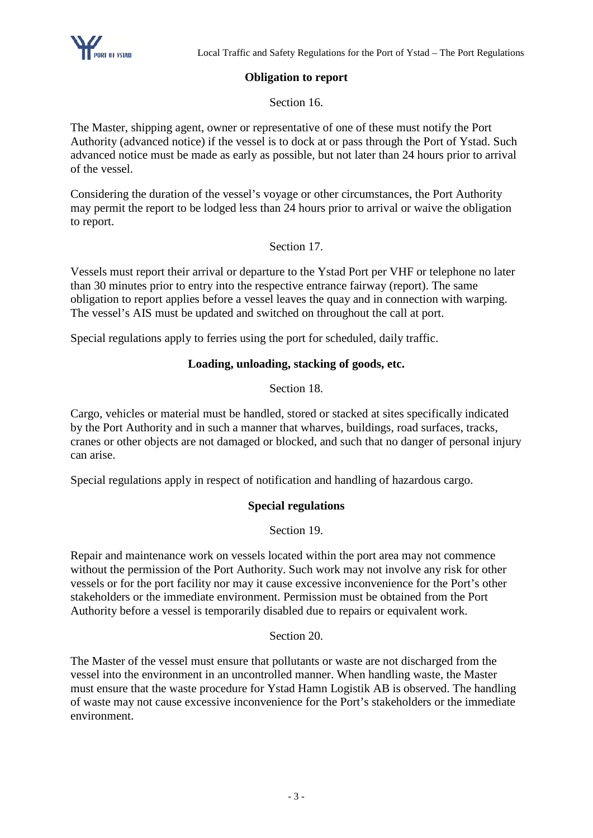# **Obligation to report**

Section 16.

The Master, shipping agent, owner or representative of one of these must notify the Port Authority (advanced notice) if the vessel is to dock at or pass through the Port of Ystad. Such advanced notice must be made as early as possible, but not later than 24 hours prior to arrival of the vessel.

Considering the duration of the vessel's voyage or other circumstances, the Port Authority may permit the report to be lodged less than 24 hours prior to arrival or waive the obligation to report.

Section 17.

Vessels must report their arrival or departure to the Ystad Port per VHF or telephone no later than 30 minutes prior to entry into the respective entrance fairway (report). The same obligation to report applies before a vessel leaves the quay and in connection with warping. The vessel's AIS must be updated and switched on throughout the call at port.

Special regulations apply to ferries using the port for scheduled, daily traffic.

## **Loading, unloading, stacking of goods, etc.**

Section 18.

Cargo, vehicles or material must be handled, stored or stacked at sites specifically indicated by the Port Authority and in such a manner that wharves, buildings, road surfaces, tracks, cranes or other objects are not damaged or blocked, and such that no danger of personal injury can arise.

Special regulations apply in respect of notification and handling of hazardous cargo.

# **Special regulations**

Section 19.

Repair and maintenance work on vessels located within the port area may not commence without the permission of the Port Authority. Such work may not involve any risk for other vessels or for the port facility nor may it cause excessive inconvenience for the Port's other stakeholders or the immediate environment. Permission must be obtained from the Port Authority before a vessel is temporarily disabled due to repairs or equivalent work.

#### Section 20.

The Master of the vessel must ensure that pollutants or waste are not discharged from the vessel into the environment in an uncontrolled manner. When handling waste, the Master must ensure that the waste procedure for Ystad Hamn Logistik AB is observed. The handling of waste may not cause excessive inconvenience for the Port's stakeholders or the immediate environment.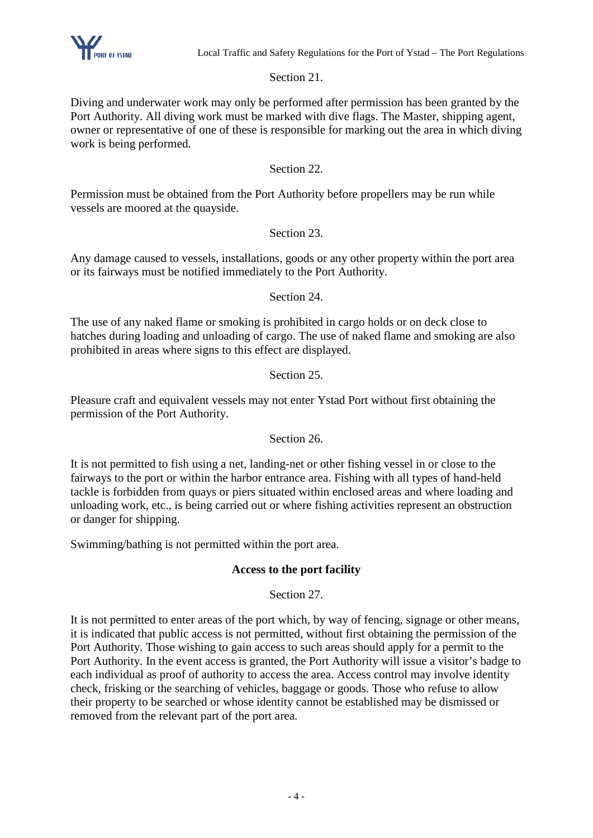

## Section 21.

Diving and underwater work may only be performed after permission has been granted by the Port Authority. All diving work must be marked with dive flags. The Master, shipping agent, owner or representative of one of these is responsible for marking out the area in which diving work is being performed.

## Section 22.

Permission must be obtained from the Port Authority before propellers may be run while vessels are moored at the quayside.

## Section 23.

Any damage caused to vessels, installations, goods or any other property within the port area or its fairways must be notified immediately to the Port Authority.

#### Section 24

The use of any naked flame or smoking is prohibited in cargo holds or on deck close to hatches during loading and unloading of cargo. The use of naked flame and smoking are also prohibited in areas where signs to this effect are displayed.

#### Section 25.

Pleasure craft and equivalent vessels may not enter Ystad Port without first obtaining the permission of the Port Authority.

#### Section 26.

It is not permitted to fish using a net, landing-net or other fishing vessel in or close to the fairways to the port or within the harbor entrance area. Fishing with all types of hand-held tackle is forbidden from quays or piers situated within enclosed areas and where loading and unloading work, etc., is being carried out or where fishing activities represent an obstruction or danger for shipping.

Swimming/bathing is not permitted within the port area.

#### **Access to the port facility**

#### Section 27.

It is not permitted to enter areas of the port which, by way of fencing, signage or other means, it is indicated that public access is not permitted, without first obtaining the permission of the Port Authority. Those wishing to gain access to such areas should apply for a permit to the Port Authority. In the event access is granted, the Port Authority will issue a visitor's badge to each individual as proof of authority to access the area. Access control may involve identity check, frisking or the searching of vehicles, baggage or goods. Those who refuse to allow their property to be searched or whose identity cannot be established may be dismissed or removed from the relevant part of the port area.